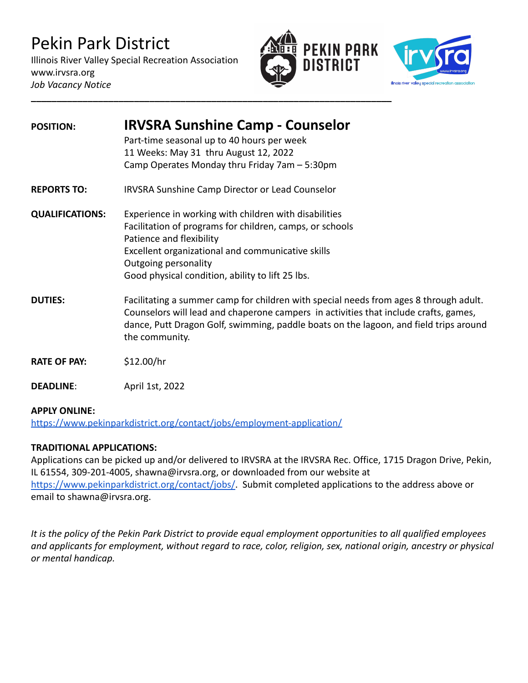# Pekin Park District

Illinois River Valley Special Recreation Association www.irvsra.org *Job Vacancy Notice*





| <b>POSITION:</b>       | <b>IRVSRA Sunshine Camp - Counselor</b>                                                                                                                                                                                                                                                  |
|------------------------|------------------------------------------------------------------------------------------------------------------------------------------------------------------------------------------------------------------------------------------------------------------------------------------|
|                        | Part-time seasonal up to 40 hours per week                                                                                                                                                                                                                                               |
|                        | 11 Weeks: May 31 thru August 12, 2022                                                                                                                                                                                                                                                    |
|                        | Camp Operates Monday thru Friday 7am - 5:30pm                                                                                                                                                                                                                                            |
| <b>REPORTS TO:</b>     | <b>IRVSRA Sunshine Camp Director or Lead Counselor</b>                                                                                                                                                                                                                                   |
| <b>QUALIFICATIONS:</b> | Experience in working with children with disabilities                                                                                                                                                                                                                                    |
|                        | Facilitation of programs for children, camps, or schools                                                                                                                                                                                                                                 |
|                        | Patience and flexibility                                                                                                                                                                                                                                                                 |
|                        | Excellent organizational and communicative skills                                                                                                                                                                                                                                        |
|                        | Outgoing personality                                                                                                                                                                                                                                                                     |
|                        | Good physical condition, ability to lift 25 lbs.                                                                                                                                                                                                                                         |
| <b>DUTIES:</b>         | Facilitating a summer camp for children with special needs from ages 8 through adult.<br>Counselors will lead and chaperone campers in activities that include crafts, games,<br>dance, Putt Dragon Golf, swimming, paddle boats on the lagoon, and field trips around<br>the community. |
| <b>RATE OF PAY:</b>    | \$12.00/hr                                                                                                                                                                                                                                                                               |
| <b>DEADLINE:</b>       | April 1st, 2022                                                                                                                                                                                                                                                                          |

### **APPLY ONLINE:**

<https://www.pekinparkdistrict.org/contact/jobs/employment-application/>

### **TRADITIONAL APPLICATIONS:**

Applications can be picked up and/or delivered to IRVSRA at the IRVSRA Rec. Office, 1715 Dragon Drive, Pekin, IL 61554, 309-201-4005, shawna@irvsra.org, or downloaded from our website at [https://www.pekinparkdistrict.org/contact/jobs/.](https://www.pekinparkdistrict.org/contact/jobs/) Submit completed applications to the address above or email to shawna@irvsra.org.

*It is the policy of the Pekin Park District to provide equal employment opportunities to all qualified employees and applicants for employment, without regard to race, color, religion, sex, national origin, ancestry or physical or mental handicap.*